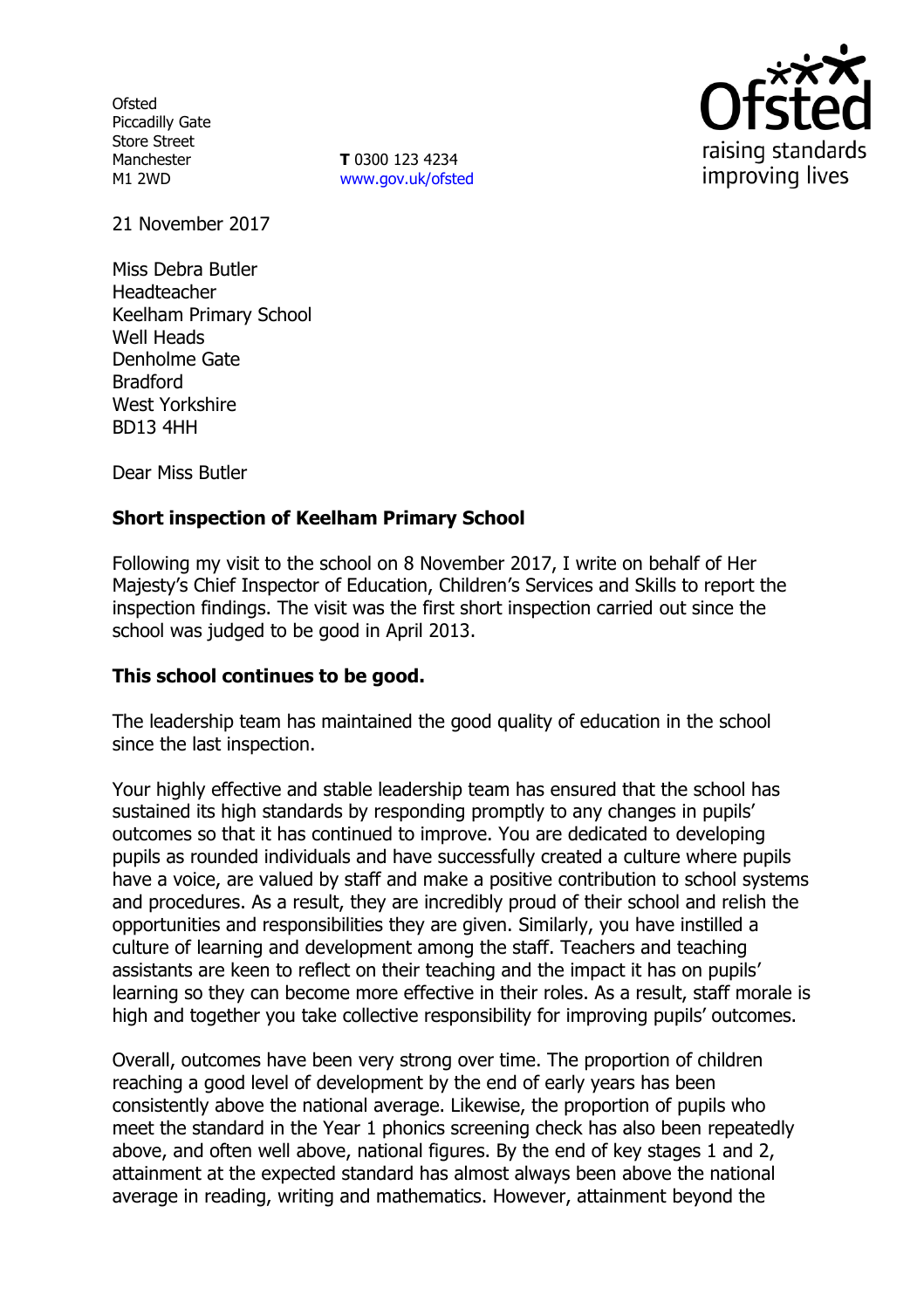**Ofsted** Piccadilly Gate Store Street Manchester M1 2WD

**T** 0300 123 4234 www.gov.uk/ofsted



21 November 2017

Miss Debra Butler Headteacher Keelham Primary School Well Heads Denholme Gate Bradford West Yorkshire BD13 4HH

Dear Miss Butler

# **Short inspection of Keelham Primary School**

Following my visit to the school on 8 November 2017, I write on behalf of Her Majesty's Chief Inspector of Education, Children's Services and Skills to report the inspection findings. The visit was the first short inspection carried out since the school was judged to be good in April 2013.

### **This school continues to be good.**

The leadership team has maintained the good quality of education in the school since the last inspection.

Your highly effective and stable leadership team has ensured that the school has sustained its high standards by responding promptly to any changes in pupils' outcomes so that it has continued to improve. You are dedicated to developing pupils as rounded individuals and have successfully created a culture where pupils have a voice, are valued by staff and make a positive contribution to school systems and procedures. As a result, they are incredibly proud of their school and relish the opportunities and responsibilities they are given. Similarly, you have instilled a culture of learning and development among the staff. Teachers and teaching assistants are keen to reflect on their teaching and the impact it has on pupils' learning so they can become more effective in their roles. As a result, staff morale is high and together you take collective responsibility for improving pupils' outcomes.

Overall, outcomes have been very strong over time. The proportion of children reaching a good level of development by the end of early years has been consistently above the national average. Likewise, the proportion of pupils who meet the standard in the Year 1 phonics screening check has also been repeatedly above, and often well above, national figures. By the end of key stages 1 and 2, attainment at the expected standard has almost always been above the national average in reading, writing and mathematics. However, attainment beyond the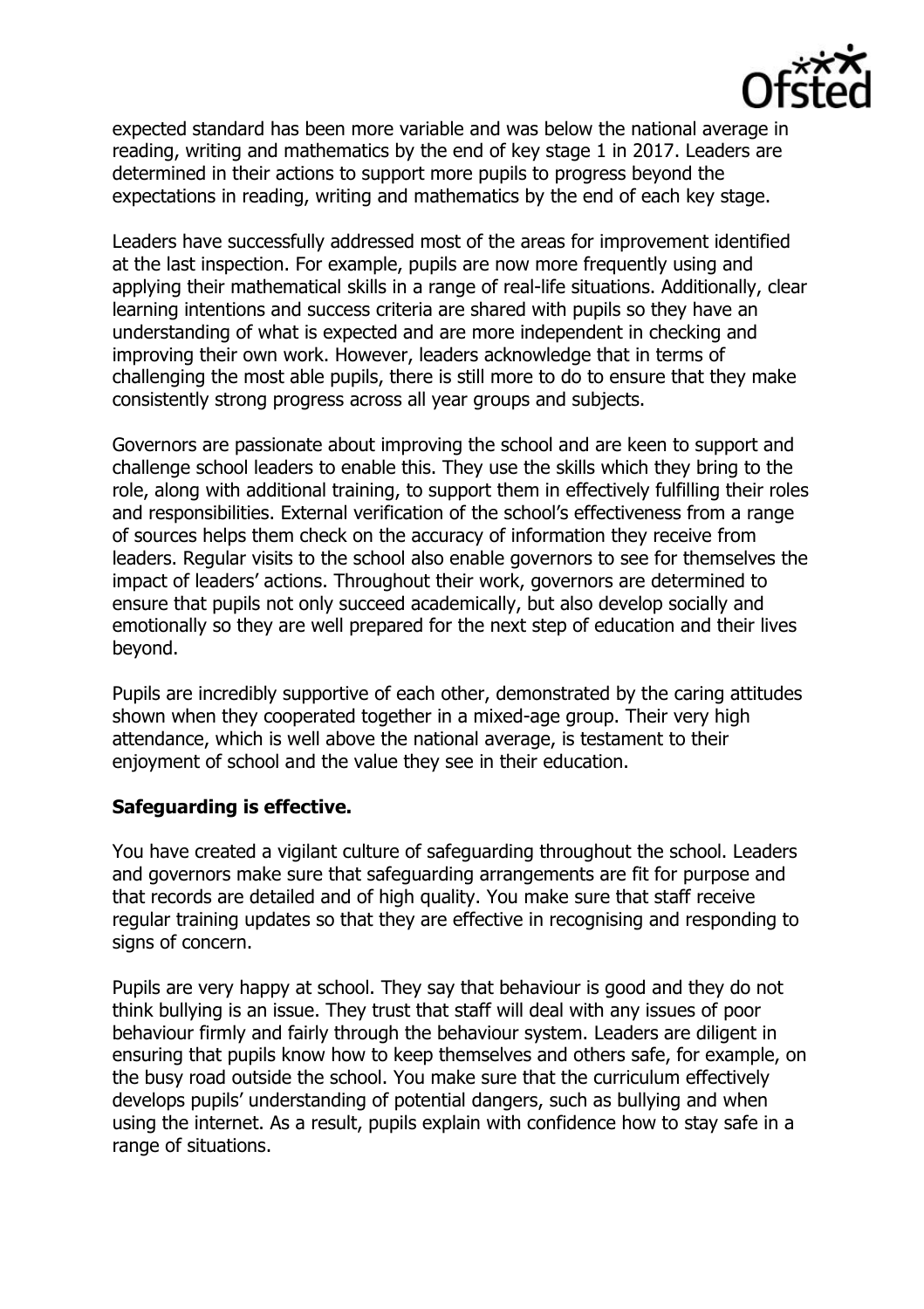

expected standard has been more variable and was below the national average in reading, writing and mathematics by the end of key stage 1 in 2017. Leaders are determined in their actions to support more pupils to progress beyond the expectations in reading, writing and mathematics by the end of each key stage.

Leaders have successfully addressed most of the areas for improvement identified at the last inspection. For example, pupils are now more frequently using and applying their mathematical skills in a range of real-life situations. Additionally, clear learning intentions and success criteria are shared with pupils so they have an understanding of what is expected and are more independent in checking and improving their own work. However, leaders acknowledge that in terms of challenging the most able pupils, there is still more to do to ensure that they make consistently strong progress across all year groups and subjects.

Governors are passionate about improving the school and are keen to support and challenge school leaders to enable this. They use the skills which they bring to the role, along with additional training, to support them in effectively fulfilling their roles and responsibilities. External verification of the school's effectiveness from a range of sources helps them check on the accuracy of information they receive from leaders. Regular visits to the school also enable governors to see for themselves the impact of leaders' actions. Throughout their work, governors are determined to ensure that pupils not only succeed academically, but also develop socially and emotionally so they are well prepared for the next step of education and their lives beyond.

Pupils are incredibly supportive of each other, demonstrated by the caring attitudes shown when they cooperated together in a mixed-age group. Their very high attendance, which is well above the national average, is testament to their enjoyment of school and the value they see in their education.

### **Safeguarding is effective.**

You have created a vigilant culture of safeguarding throughout the school. Leaders and governors make sure that safeguarding arrangements are fit for purpose and that records are detailed and of high quality. You make sure that staff receive regular training updates so that they are effective in recognising and responding to signs of concern.

Pupils are very happy at school. They say that behaviour is good and they do not think bullying is an issue. They trust that staff will deal with any issues of poor behaviour firmly and fairly through the behaviour system. Leaders are diligent in ensuring that pupils know how to keep themselves and others safe, for example, on the busy road outside the school. You make sure that the curriculum effectively develops pupils' understanding of potential dangers, such as bullying and when using the internet. As a result, pupils explain with confidence how to stay safe in a range of situations.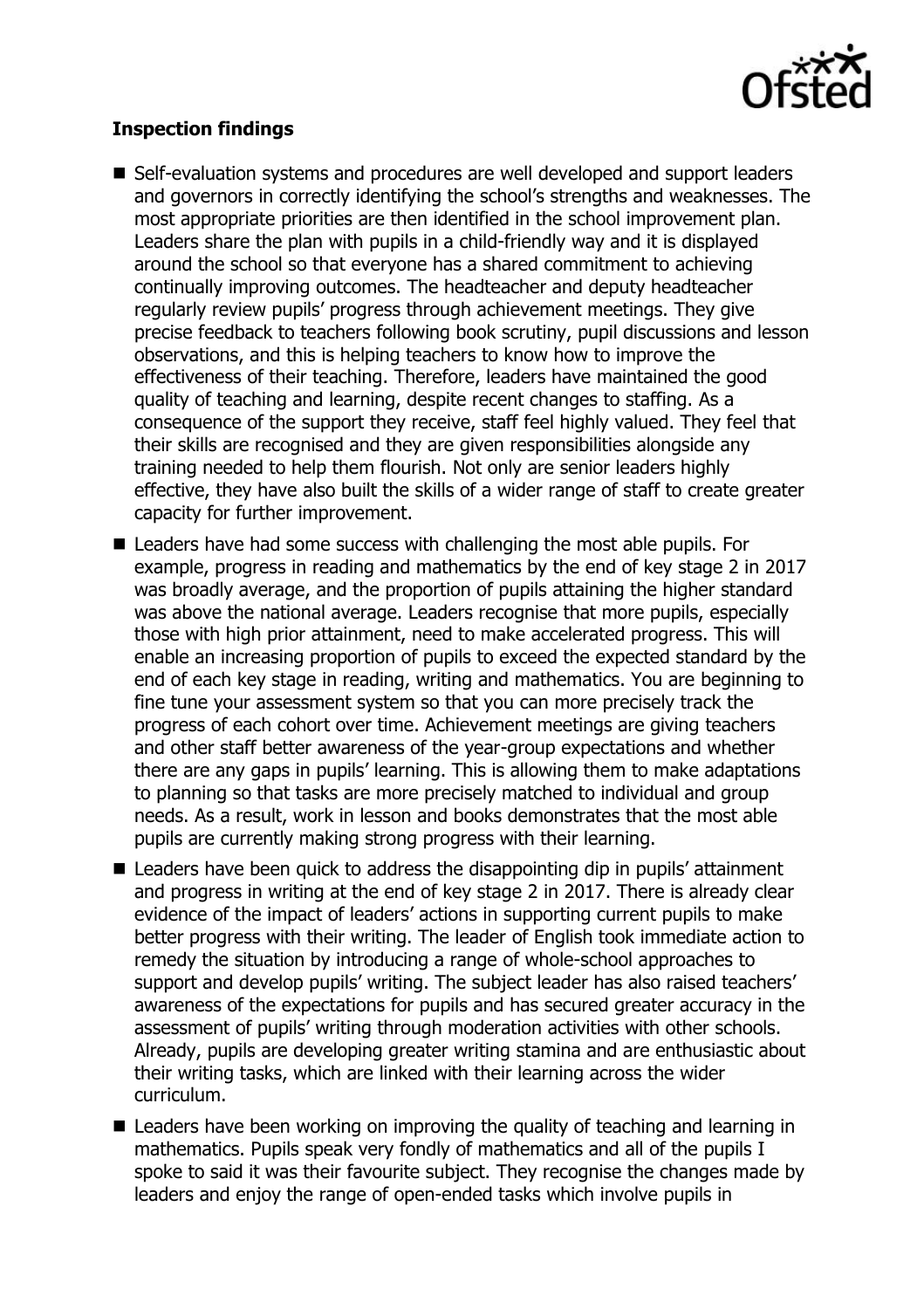

# **Inspection findings**

- Self-evaluation systems and procedures are well developed and support leaders and governors in correctly identifying the school's strengths and weaknesses. The most appropriate priorities are then identified in the school improvement plan. Leaders share the plan with pupils in a child-friendly way and it is displayed around the school so that everyone has a shared commitment to achieving continually improving outcomes. The headteacher and deputy headteacher regularly review pupils' progress through achievement meetings. They give precise feedback to teachers following book scrutiny, pupil discussions and lesson observations, and this is helping teachers to know how to improve the effectiveness of their teaching. Therefore, leaders have maintained the good quality of teaching and learning, despite recent changes to staffing. As a consequence of the support they receive, staff feel highly valued. They feel that their skills are recognised and they are given responsibilities alongside any training needed to help them flourish. Not only are senior leaders highly effective, they have also built the skills of a wider range of staff to create greater capacity for further improvement.
- Leaders have had some success with challenging the most able pupils. For example, progress in reading and mathematics by the end of key stage 2 in 2017 was broadly average, and the proportion of pupils attaining the higher standard was above the national average. Leaders recognise that more pupils, especially those with high prior attainment, need to make accelerated progress. This will enable an increasing proportion of pupils to exceed the expected standard by the end of each key stage in reading, writing and mathematics. You are beginning to fine tune your assessment system so that you can more precisely track the progress of each cohort over time. Achievement meetings are giving teachers and other staff better awareness of the year-group expectations and whether there are any gaps in pupils' learning. This is allowing them to make adaptations to planning so that tasks are more precisely matched to individual and group needs. As a result, work in lesson and books demonstrates that the most able pupils are currently making strong progress with their learning.
- Leaders have been quick to address the disappointing dip in pupils' attainment and progress in writing at the end of key stage 2 in 2017. There is already clear evidence of the impact of leaders' actions in supporting current pupils to make better progress with their writing. The leader of English took immediate action to remedy the situation by introducing a range of whole-school approaches to support and develop pupils' writing. The subject leader has also raised teachers' awareness of the expectations for pupils and has secured greater accuracy in the assessment of pupils' writing through moderation activities with other schools. Already, pupils are developing greater writing stamina and are enthusiastic about their writing tasks, which are linked with their learning across the wider curriculum.
- Leaders have been working on improving the quality of teaching and learning in mathematics. Pupils speak very fondly of mathematics and all of the pupils I spoke to said it was their favourite subject. They recognise the changes made by leaders and enjoy the range of open-ended tasks which involve pupils in